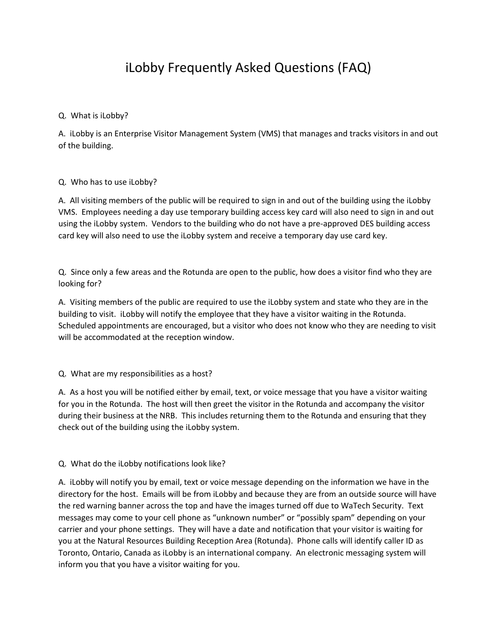## iLobby Frequently Asked Questions (FAQ)

## Q. What is iLobby?

A. iLobby is an Enterprise Visitor Management System (VMS) that manages and tracks visitors in and out of the building.

## Q. Who has to use iLobby?

A. All visiting members of the public will be required to sign in and out of the building using the iLobby VMS. Employees needing a day use temporary building access key card will also need to sign in and out using the iLobby system. Vendors to the building who do not have a pre-approved DES building access card key will also need to use the iLobby system and receive a temporary day use card key.

Q. Since only a few areas and the Rotunda are open to the public, how does a visitor find who they are looking for?

A. Visiting members of the public are required to use the iLobby system and state who they are in the building to visit. iLobby will notify the employee that they have a visitor waiting in the Rotunda. Scheduled appointments are encouraged, but a visitor who does not know who they are needing to visit will be accommodated at the reception window.

Q. What are my responsibilities as a host?

A. As a host you will be notified either by email, text, or voice message that you have a visitor waiting for you in the Rotunda. The host will then greet the visitor in the Rotunda and accompany the visitor during their business at the NRB. This includes returning them to the Rotunda and ensuring that they check out of the building using the iLobby system.

## Q. What do the iLobby notifications look like?

A. iLobby will notify you by email, text or voice message depending on the information we have in the directory for the host. Emails will be from iLobby and because they are from an outside source will have the red warning banner across the top and have the images turned off due to WaTech Security. Text messages may come to your cell phone as "unknown number" or "possibly spam" depending on your carrier and your phone settings. They will have a date and notification that your visitor is waiting for you at the Natural Resources Building Reception Area (Rotunda). Phone calls will identify caller ID as Toronto, Ontario, Canada as iLobby is an international company. An electronic messaging system will inform you that you have a visitor waiting for you.